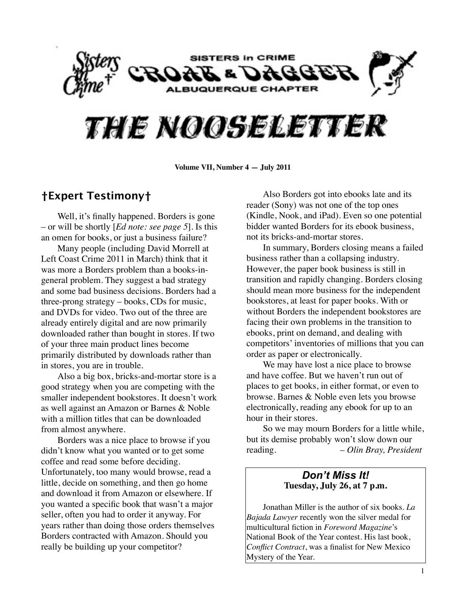

# THE NOOSELETTER

**Volume VII, Number 4 — July 2011**

### **†Expert Testimony†**

Well, it's finally happened. Borders is gone – or will be shortly [*Ed note: see page 5*]. Is this an omen for books, or just a business failure?

Many people (including David Morrell at Left Coast Crime 2011 in March) think that it was more a Borders problem than a books-ingeneral problem. They suggest a bad strategy and some bad business decisions. Borders had a three-prong strategy – books, CDs for music, and DVDs for video. Two out of the three are already entirely digital and are now primarily downloaded rather than bought in stores. If two of your three main product lines become primarily distributed by downloads rather than in stores, you are in trouble.

Also a big box, bricks-and-mortar store is a good strategy when you are competing with the smaller independent bookstores. It doesn't work as well against an Amazon or Barnes & Noble with a million titles that can be downloaded from almost anywhere.

Borders was a nice place to browse if you didn't know what you wanted or to get some coffee and read some before deciding. Unfortunately, too many would browse, read a little, decide on something, and then go home and download it from Amazon or elsewhere. If you wanted a specific book that wasn't a major seller, often you had to order it anyway. For years rather than doing those orders themselves Borders contracted with Amazon. Should you really be building up your competitor?

Also Borders got into ebooks late and its reader (Sony) was not one of the top ones (Kindle, Nook, and iPad). Even so one potential bidder wanted Borders for its ebook business, not its bricks-and-mortar stores.

In summary, Borders closing means a failed business rather than a collapsing industry. However, the paper book business is still in transition and rapidly changing. Borders closing should mean more business for the independent bookstores, at least for paper books. With or without Borders the independent bookstores are facing their own problems in the transition to ebooks, print on demand, and dealing with competitors' inventories of millions that you can order as paper or electronically.

We may have lost a nice place to browse and have coffee. But we haven't run out of places to get books, in either format, or even to browse. Barnes & Noble even lets you browse electronically, reading any ebook for up to an hour in their stores.

So we may mourn Borders for a little while, but its demise probably won't slow down our reading.  $- Olin \, Draw, President$ 

### *Don't Miss It!* **Tuesday, July 26, at 7 p.m.**

Jonathan Miller is the author of six books. *La Bajada Lawyer* recently won the silver medal for multicultural fiction in *Foreword Magazine*'s National Book of the Year contest. His last book, *Conflict Contract*, was a finalist for New Mexico Mystery of the Year.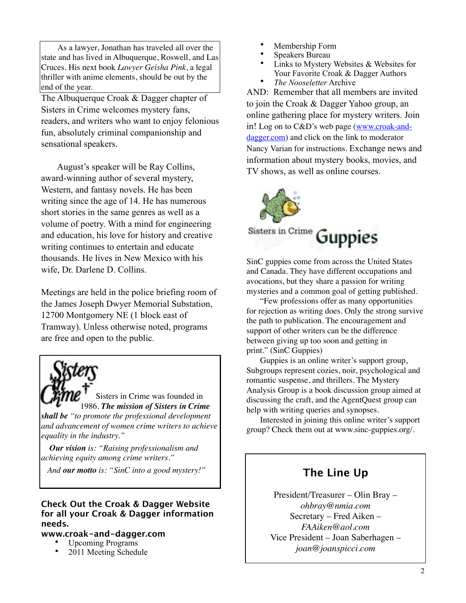As a lawyer, Jonathan has traveled all over the state and has lived in Albuquerque, Roswell, and Las Cruces. His next book *Lawyer Geisha Pink*, a legal thriller with anime elements, should be out by the end of the year.

The Albuquerque Croak & Dagger chapter of Sisters in Crime welcomes mystery fans, readers, and writers who want to enjoy felonious fun, absolutely criminal companionship and sensational speakers.

 August's speaker will be Ray Collins, award-winning author of several mystery, Western, and fantasy novels. He has been writing since the age of 14. He has numerous short stories in the same genres as well as a volume of poetry. With a mind for engineering and education, his love for history and creative writing continues to entertain and educate thousands. He lives in New Mexico with his wife, Dr. Darlene D. Collins.

Meetings are held in the police briefing room of the James Joseph Dwyer Memorial Substation, 12700 Montgomery NE (1 block east of Tramway). Unless otherwise noted, programs are free and open to the public.



Sisters in Crime was founded in 1986. *The mission of Sisters in Crime shall be "to promote the professional development and advancement of women crime writers to achieve equality in the industry."*

 *Our vision is: "Raising professionalism and achieving equity among crime writers."*

 *And our motto is: "SinC into a good mystery!"*

### **Check Out the Croak & Dagger Website for all your Croak & Dagger information needs.**

### **www.croak-and-dagger.com**

- Upcoming Programs
- 2011 Meeting Schedule
- Membership Form
- Speakers Bureau
- Links to Mystery Websites  $&$  Websites for Your Favorite Croak & Dagger Authors
- *The Nooseletter* Archive

AND: Remember that all members are invited to join the Croak & Dagger Yahoo group, an online gathering place for mystery writers. Join in! Log on to C&D's web page [\(www.croak-and](http://www.croak-and-dagger.com)[dagger.com](http://www.croak-and-dagger.com)) and click on the link to moderator Nancy Varian for instructions. Exchange news and information about mystery books, movies, and TV shows, as well as online courses.



SinC guppies come from across the United States and Canada. They have different occupations and avocations, but they share a passion for writing mysteries and a common goal of getting published.

"Few professions offer as many opportunities for rejection as writing does. Only the strong survive the path to publication. The encouragement and support of other writers can be the difference between giving up too soon and getting in print." (SinC Guppies)

Guppies is an online writer's support group, Subgroups represent cozies, noir, psychological and romantic suspense, and thrillers. The Mystery Analysis Group is a book discussion group aimed at discussing the craft, and the AgentQuest group can help with writing queries and synopses.

Interested in joining this online writer's support group? Check them out at www.sinc-guppies.org/.

### **The Line Up**

President/Treasurer – Olin Bray – *[ohbray@nmia.com](mailto:ohbray@nmia.com)* Secretary – Fred Aiken – *[FAAiken@aol.com](mailto:rkresge777@comcast.net)* Vice President – Joan Saberhagen – *[joan@joanspicci.com](mailto:joan@joanspicci.com)*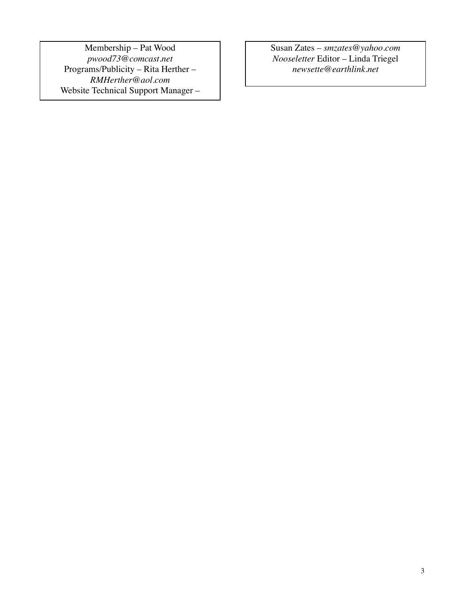Membership – Pat Wood *pwood73@comcast.net* Programs/Publicity – Rita Herther – *[RMHerther@aol.com](mailto:RMHerther@aol.com)* Website Technical Support Manager – Susan Zates – *[smzates@yahoo.com](mailto:smzates@yahoo.com) Nooseletter* Editor – Linda Triegel *[newsette@earthlink.net](mailto:newsette@earthlink.net)*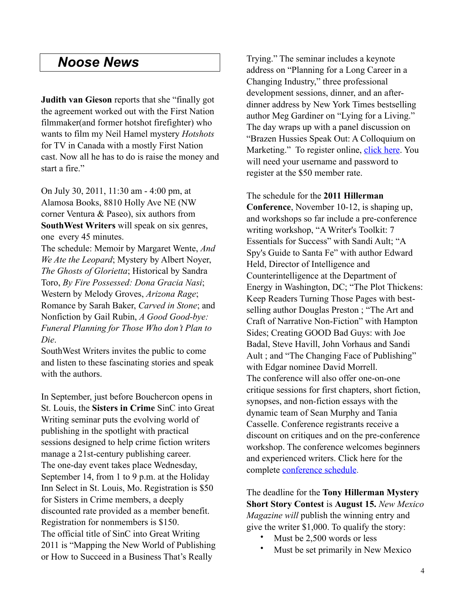## *Noose News*

**Judith van Gieson** reports that she "finally got the agreement worked out with the First Nation filmmaker(and former hotshot firefighter) who wants to film my Neil Hamel mystery *Hotshots* for TV in Canada with a mostly First Nation cast. Now all he has to do is raise the money and start a fire."

On July 30, 2011, 11:30 am - 4:00 pm, at Alamosa Books, 8810 Holly Ave NE (NW corner Ventura & Paseo), six authors from **SouthWest Writers** will speak on six genres, one every 45 minutes.

The schedule: Memoir by Margaret Wente, *And We Ate the Leopard*; Mystery by Albert Noyer, *The Ghosts of Glorietta*; Historical by Sandra Toro, *By Fire Possessed: Dona Gracia Nasi*; Western by Melody Groves, *Arizona Rage*; Romance by Sarah Baker, *Carved in Stone*; and Nonfiction by Gail Rubin, *A Good Good-bye: Funeral Planning for Those Who don't Plan to Die*.

SouthWest Writers invites the public to come and listen to these fascinating stories and speak with the authors.

In September, just before Bouchercon opens in St. Louis, the **Sisters in Crime** SinC into Great Writing seminar puts the evolving world of publishing in the spotlight with practical sessions designed to help crime fiction writers manage a 21st-century publishing career. The one-day event takes place Wednesday, September 14, from 1 to 9 p.m. at the Holiday Inn Select in St. Louis, Mo. Registration is \$50 for Sisters in Crime members, a deeply discounted rate provided as a member benefit. Registration for nonmembers is \$150. The official title of SinC into Great Writing 2011 is "Mapping the New World of Publishing or How to Succeed in a Business That's Really

Trying." The seminar includes a keynote address on "Planning for a Long Career in a Changing Industry," three professional development sessions, dinner, and an afterdinner address by New York Times bestselling author Meg Gardiner on "Lying for a Living." The day wraps up with a panel discussion on "Brazen Hussies Speak Out: A Colloquium on Marketing." To register online, [click here.](http://www.sistersincrime.org/displaycommon.cfm?an=1&subarticlenbr=74) You will need your username and password to register at the \$50 member rate.

The schedule for the **2011 Hillerman Conference**, November 10-12, is shaping up, and workshops so far include a pre-conference writing workshop, "A Writer's Toolkit: 7 Essentials for Success" with Sandi Ault; "A Spy's Guide to Santa Fe" with author Edward Held, Director of Intelligence and Counterintelligence at the Department of Energy in Washington, DC; "The Plot Thickens: Keep Readers Turning Those Pages with bestselling author Douglas Preston ; "The Art and Craft of Narrative Non-Fiction" with Hampton Sides; Creating GOOD Bad Guys: with Joe Badal, Steve Havill, John Vorhaus and Sandi Ault ; and "The Changing Face of Publishing" with Edgar nominee David Morrell. The conference will also offer one-on-one critique sessions for first chapters, short fiction, synopses, and non-fiction essays with the dynamic team of [Sean Murphy and Tania](http://r20.rs6.net/tn.jsp?llr=wfa5ilcab&et=1106322232386&s=62&e=001ryUAJwQZR--MOdcPScP5ZVDwdjaugPzU9mPnvPtwIjwbUQKFcdlXgeGGZfflzExj4rkOeBSagHVglJEuiNPnRAXppmp6XUktanCA3n1qV5tthwNaZCxorA==)  [Casselle.](http://r20.rs6.net/tn.jsp?llr=wfa5ilcab&et=1106322232386&s=62&e=001ryUAJwQZR--MOdcPScP5ZVDwdjaugPzU9mPnvPtwIjwbUQKFcdlXgeGGZfflzExj4rkOeBSagHVglJEuiNPnRAXppmp6XUktanCA3n1qV5tthwNaZCxorA==) Conference registrants receive a discount on critiques and on the pre-conference workshop. The conference welcomes beginners and experienced writers. Click here for the complete [conference schedule.](http://r20.rs6.net/tn.jsp?llr=wfa5ilcab&et=1106322232386&s=1016&e=001ryUAJwQZR-98W5iJINpMZrwlL6Wi59LOQIfWWSMKAe99AgwPg3cmpXx1bYbDCvThhcAF2kYkJHts1-NLKwPChFwxsnttNY3gnmbG5-qg-h5hZkedJ1NmCgg-bhe8BYXU8qQuj09ljvFbDx_oh1w4lpIerArsxva2)

The deadline for the **Tony Hillerman Mystery Short Story Contest** is **August 15.** *New Mexico Magazine will* publish the winning entry and give the writer \$1,000. To qualify the story:

- Must be 2,500 words or less
- Must be set primarily in New Mexico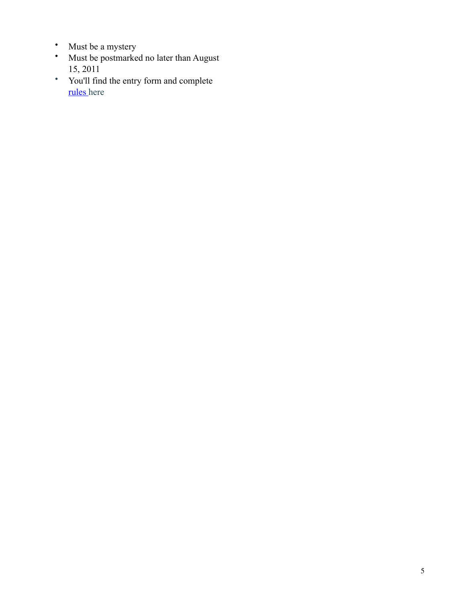- Must be a mystery
- Must be postmarked no later than August 15, 2011
- You'll find the entry form and complete [rules](http://r20.rs6.net/tn.jsp?llr=wfa5ilcab&et=1106322232386&s=1016&e=001ryUAJwQZR--sOElzMrbhsG7_Q5cE644jmigkrA2_SA7s66E6CdLkkE1jP5OLX4zxGFaZzvqla-8mSOeteiWQZ2qn9GfXv7zzEsw1QMXkHh6KOQWpVRLr1DrOBBD9CSGLWv7WXZC6EnQ=) here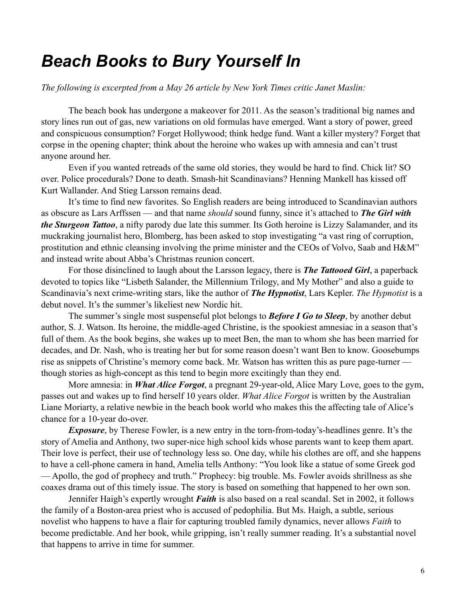# *Beach Books to Bury Yourself In*

### *The following is excerpted from a May 26 article by New York Times critic Janet Maslin:*

The beach book has undergone a makeover for 2011. As the season's traditional big names and story lines run out of gas, new variations on old formulas have emerged. Want a story of power, greed and conspicuous consumption? Forget Hollywood; think hedge fund. Want a killer mystery? Forget that corpse in the opening chapter; think about the heroine who wakes up with amnesia and can't trust anyone around her.

Even if you wanted retreads of the same old stories, they would be hard to find. Chick lit? SO over. Police procedurals? Done to death. Smash-hit Scandinavians? Henning Mankell has kissed off Kurt Wallander. And [Stieg Larsson](http://www.nytimes.com/2010/05/23/magazine/23Larsson-t.html?scp=1&sq=stieg%20larsson%20mcgrath&st=cse) remains dead.

It's time to find new favorites. So English readers are being introduced to Scandinavian authors as obscure as Lars Arffssen — and that name *should* sound funny, since it's attached to *The Girl with the Sturgeon Tattoo*, a nifty parody due late this summer. Its Goth heroine is Lizzy Salamander, and its muckraking journalist hero, Blomberg, has been asked to stop investigating "a vast ring of corruption, prostitution and ethnic cleansing involving the prime minister and the CEOs of Volvo, Saab and H&M" and instead write about Abba's Christmas reunion concert.

For those disinclined to laugh about the Larsson legacy, there is *The Tattooed Girl*, a paperback devoted to topics like "Lisbeth Salander, the Millennium Trilogy, and My Mother" and also a guide to Scandinavia's next crime-writing stars, like the author of *The Hypnotist*, Lars Kepler. *The Hypnotist* is a debut novel. It's the summer's likeliest new Nordic hit.

The summer's single most suspenseful plot belongs to *Before I Go to Sleep*, by another debut author, S. J. Watson. Its heroine, the middle-aged Christine, is the spookiest amnesiac in a season that's full of them. As the book begins, she wakes up to meet Ben, the man to whom she has been married for decades, and Dr. Nash, who is treating her but for some reason doesn't want Ben to know. Goosebumps rise as snippets of Christine's memory come back. Mr. Watson has written this as pure page-turner though stories as high-concept as this tend to begin more excitingly than they end.

More amnesia: in *What Alice Forgot*, a pregnant 29-year-old, Alice Mary Love, goes to the gym, passes out and wakes up to find herself 10 years older. *What Alice Forgot* is written by the Australian Liane Moriarty, a relative newbie in the beach book world who makes this the affecting tale of Alice's chance for a 10-year do-over.

*Exposure*, by Therese Fowler, is a new entry in the torn-from-today's-headlines genre. It's the story of Amelia and Anthony, two super-nice high school kids whose parents want to keep them apart. Their love is perfect, their use of technology less so. One day, while his clothes are off, and she happens to have a cell-phone camera in hand, Amelia tells Anthony: "You look like a statue of some Greek god — Apollo, the god of prophecy and truth." Prophecy: big trouble. Ms. Fowler avoids shrillness as she coaxes drama out of this timely issue. The story is based on something that happened to her own son.

Jennifer Haigh's expertly wrought *Faith* is also based on a real scandal. Set in 2002, it follows the family of a Boston-area priest who is accused of pedophilia. But Ms. Haigh, a subtle, serious novelist who happens to have a flair for capturing troubled family dynamics, never allows *Faith* to become predictable. And her book, while gripping, isn't really summer reading. It's a substantial novel that happens to arrive in time for summer.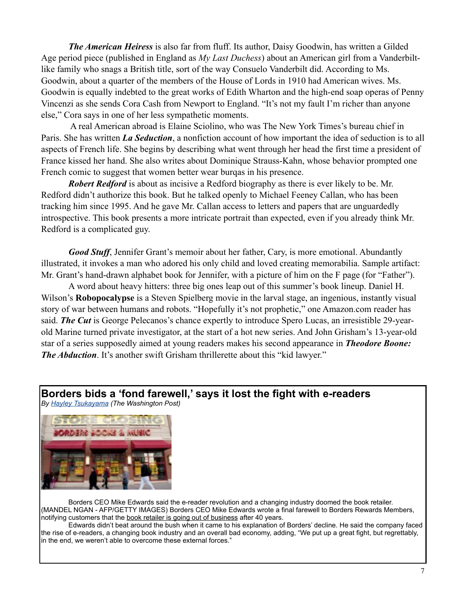*The American Heiress* is also far from fluff. Its author, Daisy Goodwin, has written a Gilded Age period piece (published in England as *My Last Duchess*) about an American girl from a Vanderbiltlike family who snags a British title, sort of the way [Consuelo Vanderbilt](http://www.npr.org/templates/story/story.php?storyId=5159494) did. According to Ms. Goodwin, about a quarter of the members of the House of Lords in 1910 had American wives. Ms. Goodwin is equally indebted to the great works of Edith Wharton and the high-end soap operas of Penny Vincenzi as she sends Cora Cash from Newport to England. "It's not my fault I'm richer than anyone else," Cora says in one of her less sympathetic moments.

 A real American abroad is Elaine Sciolino, who was The New York Times's bureau chief in Paris. She has written *La Seduction*, a nonfiction account of how important the idea of seduction is to all aspects of French life. She begins by describing what went through her head the first time a president of France kissed her hand. She also writes about Dominique Strauss-Kahn, whose behavior prompted one French comic to suggest that women better wear burqas in his presence.

*Robert Redford* is about as incisive a Redford biography as there is ever likely to be. Mr. Redford didn't authorize this book. But he talked openly to Michael Feeney Callan, who has been tracking him since 1995. And he gave Mr. Callan access to letters and papers that are unguardedly introspective. This book presents a more intricate portrait than expected, even if you already think Mr. Redford is a complicated guy.

*Good Stuff*, Jennifer Grant's memoir about her father, Cary, is more emotional. Abundantly illustrated, it invokes a man who adored his only child and loved creating memorabilia. Sample artifact: Mr. Grant's hand-drawn alphabet book for Jennifer, with a picture of him on the F page (for "Father").

A word about heavy hitters: three big ones leap out of this summer's book lineup. Daniel H. Wilson's **Robopocalypse** is a Steven Spielberg movie in the larval stage, an ingenious, instantly visual story of war between humans and robots. "Hopefully it's not prophetic," one Amazon.com reader has said. *The Cut* is George Pelecanos's chance expertly to introduce Spero Lucas, an irresistible 29-yearold Marine turned private investigator, at the start of a hot new series. And John Grisham's 13-year-old star of a series supposedly aimed at young readers makes his second appearance in *Theodore Boone: The Abduction*. It's another swift Grisham thrillerette about this "kid lawyer."

#### **Borders bids a 'fond farewell,' says it lost the fight with e-readers** *By [Hayley Tsukayama](http://www.washingtonpost.com/hayley-tsukayama/2011/03/25/AFwMAnXB_page.html) (The Washington Post)*



Borders CEO Mike Edwards said the e-reader revolution and a changing industry doomed the book retailer. (MANDEL NGAN - AFP/GETTY IMAGES) Borders CEO Mike Edwards wrote a final farewell to Borders Rewards Members, notifying customers that the [book retailer is going out of business](http://www.washingtonpost.com/blogs/rosenwald-md/post/for-a-borders-book-group-the-story-goes-on/2011/07/21/gIQAXGrxRI_blog.html) after 40 years.

Edwards didn't beat around the bush when it came to his explanation of Borders' decline. He said the company faced the rise of e-readers, a changing book industry and an overall bad economy, adding, "We put up a great fight, but regrettably, in the end, we weren't able to overcome these external forces."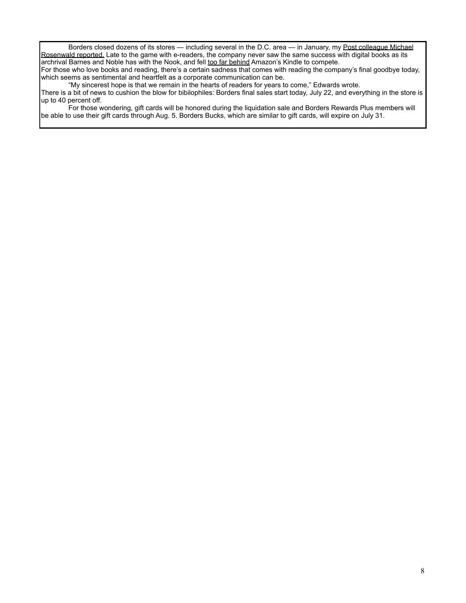Borders closed dozens of its stores — including several in the D.C. area — in January, my [Post colleague Michael](http://www.washingtonpost.com/wp-dyn/content/article/2011/01/20/AR2011012006347.html?sid=ST2011021606779)  [Rosenwald reported.](http://www.washingtonpost.com/wp-dyn/content/article/2011/01/20/AR2011012006347.html?sid=ST2011021606779) Late to the game with e-readers, the company never saw the same success with digital books as its archrival Barnes and Noble has with the Nook, and fell [too far behind](http://www.washingtonpost.com/blogs/rosenwald-md/post/for-a-borders-book-group-the-story-goes-on/2011/07/21/gIQAXGrxRI_blog.html) Amazon's Kindle to compete.

For those who love books and reading, there's a certain sadness that comes with reading the company's final goodbye today, which seems as sentimental and heartfelt as a corporate communication can be.

"My sincerest hope is that we remain in the hearts of readers for years to come," Edwards wrote.

There is a bit of news to cushion the blow for bibilophiles: Borders final sales start today, July 22, and everything in the store is up to 40 percent off.

For those wondering, gift cards will be honored during the liquidation sale and Borders Rewards Plus members will be able to use their gift cards through Aug. 5. Borders Bucks, which are similar to gift cards, will expire on July 31.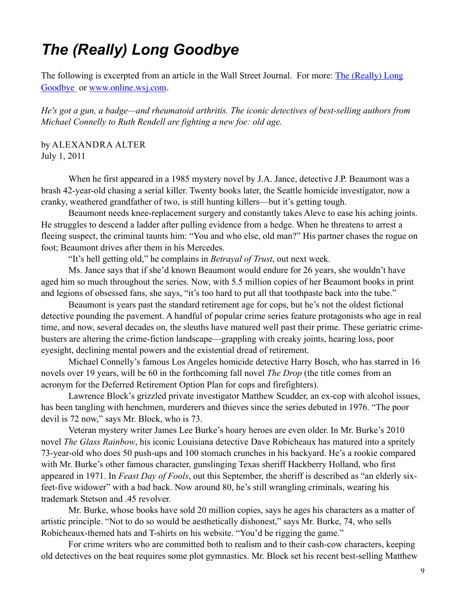# *The (Really) Long Goodbye*

The following is excerpted from an article in the Wall Street Journal. For more: [The \(Really\) Long](http://tinyurl.com/3rkodz8)  [Goodbye](http://tinyurl.com/3rkodz8) or [www.online.wsj.com.](http://www.online.wsj.com)

*He's got a gun, a badge—and rheumatoid arthritis. The iconic detectives of best-selling authors from Michael Connelly to Ruth Rendell are fighting a new foe: old age.*

by [ALEXANDRA ALTER](http://online.wsj.com/search/term.html?KEYWORDS=ALEXANDRA+ALTER&bylinesearch=true) July 1, 2011

When he first appeared in a 1985 mystery novel by J.A. Jance, detective J.P. Beaumont was a brash 42-year-old chasing a serial killer. Twenty books later, the Seattle homicide investigator, now a cranky, weathered grandfather of two, is still hunting killers—but it's getting tough.

Beaumont needs knee-replacement surgery and constantly takes Aleve to ease his aching joints. He struggles to descend a ladder after pulling evidence from a hedge. When he threatens to arrest a fleeing suspect, the criminal taunts him: "You and who else, old man?" His partner chases the rogue on foot; Beaumont drives after them in his Mercedes.

"It's hell getting old," he complains in *Betrayal of Trust*, out next week.

Ms. Jance says that if she'd known Beaumont would endure for 26 years, she wouldn't have aged him so much throughout the series. Now, with 5.5 million copies of her Beaumont books in print and legions of obsessed fans, she says, "it's too hard to put all that toothpaste back into the tube."

Beaumont is years past the standard retirement age for cops, but he's not the oldest fictional detective pounding the pavement. A handful of popular crime series feature protagonists who age in real time, and now, several decades on, the sleuths have matured well past their prime. These geriatric crimebusters are altering the crime-fiction landscape—grappling with creaky joints, hearing loss, poor eyesight, declining mental powers and the existential dread of retirement.

Michael Connelly's famous Los Angeles homicide detective Harry Bosch, who has starred in 16 novels over 19 years, will be 60 in the forthcoming fall novel *The Drop* (the title comes from an acronym for the Deferred Retirement Option Plan for cops and firefighters).

Lawrence Block's grizzled private investigator Matthew Scudder, an ex-cop with alcohol issues, has been tangling with henchmen, murderers and thieves since the series debuted in 1976. "The poor devil is 72 now," says Mr. Block, who is 73.

Veteran mystery writer James Lee Burke's hoary heroes are even older. In Mr. Burke's 2010 novel *The Glass Rainbow*, his iconic Louisiana detective Dave Robicheaux has matured into a spritely 73-year-old who does 50 push-ups and 100 stomach crunches in his backyard. He's a rookie compared with Mr. Burke's other famous character, gunslinging Texas sheriff Hackberry Holland, who first appeared in 1971. In *Feast Day of Fools*, out this September, the sheriff is described as "an elderly sixfeet-five widower" with a bad back. Now around 80, he's still wrangling criminals, wearing his trademark Stetson and .45 revolver.

Mr. Burke, whose books have sold 20 million copies, says he ages his characters as a matter of artistic principle. "Not to do so would be aesthetically dishonest," says Mr. Burke, 74, who sells Robicheaux-themed hats and T-shirts on his website. "You'd be rigging the game."

For crime writers who are committed both to realism and to their cash-cow characters, keeping old detectives on the beat requires some plot gymnastics. Mr. Block set his recent best-selling Matthew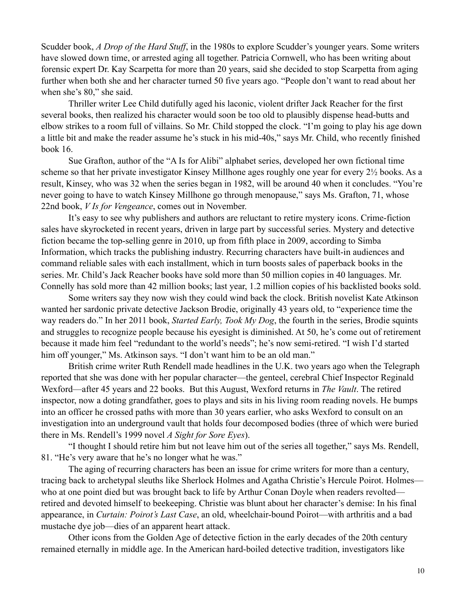Scudder book, *A Drop of the Hard Stuff*, in the 1980s to explore Scudder's younger years. Some writers have slowed down time, or arrested aging all together. Patricia Cornwell, who has been writing about forensic expert Dr. Kay Scarpetta for more than 20 years, said she decided to stop Scarpetta from aging further when both she and her character turned 50 five years ago. "People don't want to read about her when she's 80," she said.

Thriller writer Lee Child dutifully aged his laconic, violent drifter Jack Reacher for the first several books, then realized his character would soon be too old to plausibly dispense head-butts and elbow strikes to a room full of villains. So Mr. Child stopped the clock. "I'm going to play his age down a little bit and make the reader assume he's stuck in his mid-40s," says Mr. Child, who recently finished book 16.

Sue Grafton, author of the "A Is for Alibi" alphabet series, developed her own fictional time scheme so that her private investigator Kinsey Millhone ages roughly one year for every 2½ books. As a result, Kinsey, who was 32 when the series began in 1982, will be around 40 when it concludes. "You're never going to have to watch Kinsey Millhone go through menopause," says Ms. Grafton, 71, whose 22nd book, *V Is for Vengeance*, comes out in November.

It's easy to see why publishers and authors are reluctant to retire mystery icons. Crime-fiction sales have skyrocketed in recent years, driven in large part by successful series. Mystery and detective fiction became the top-selling genre in 2010, up from fifth place in 2009, according to Simba Information, which tracks the publishing industry. Recurring characters have built-in audiences and command reliable sales with each installment, which in turn boosts sales of paperback books in the series. Mr. Child's Jack Reacher books have sold more than 50 million copies in 40 languages. Mr. Connelly has sold more than 42 million books; last year, 1.2 million copies of his backlisted books sold.

Some writers say they now wish they could wind back the clock. British novelist Kate Atkinson wanted her sardonic private detective Jackson Brodie, originally 43 years old, to "experience time the way readers do." In her 2011 book, *Started Early, Took My Dog*, the fourth in the series, Brodie squints and struggles to recognize people because his eyesight is diminished. At 50, he's come out of retirement because it made him feel "redundant to the world's needs"; he's now semi-retired. "I wish I'd started him off younger," Ms. Atkinson says. "I don't want him to be an old man."

British crime writer Ruth Rendell made headlines in the U.K. two years ago when the Telegraph reported that she was done with her popular character—the genteel, cerebral Chief Inspector Reginald Wexford—after 45 years and 22 books. But this August, Wexford returns in *The Vault*. The retired inspector, now a doting grandfather, goes to plays and sits in his living room reading novels. He bumps into an officer he crossed paths with more than 30 years earlier, who asks Wexford to consult on an investigation into an underground vault that holds four decomposed bodies (three of which were buried there in Ms. Rendell's 1999 novel *A Sight for Sore Eyes*).

"I thought I should retire him but not leave him out of the series all together," says Ms. Rendell, 81. "He's very aware that he's no longer what he was."

The aging of recurring characters has been an issue for crime writers for more than a century, tracing back to archetypal sleuths like Sherlock Holmes and Agatha Christie's Hercule Poirot. Holmes who at one point died but was brought back to life by Arthur Conan Doyle when readers revolted retired and devoted himself to beekeeping. Christie was blunt about her character's demise: In his final appearance, in *Curtain: Poirot's Last Case*, an old, wheelchair-bound Poirot—with arthritis and a bad mustache dye job—dies of an apparent heart attack.

Other icons from the Golden Age of detective fiction in the early decades of the 20th century remained eternally in middle age. In the American hard-boiled detective tradition, investigators like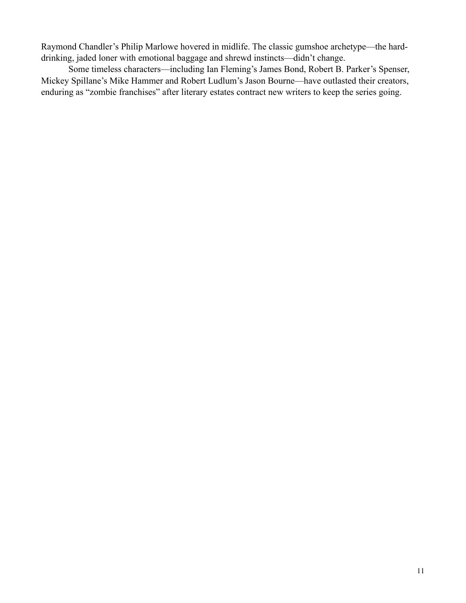Raymond Chandler's Philip Marlowe hovered in midlife. The classic gumshoe archetype—the harddrinking, jaded loner with emotional baggage and shrewd instincts—didn't change.

Some timeless characters—including Ian Fleming's James Bond, Robert B. Parker's Spenser, Mickey Spillane's Mike Hammer and Robert Ludlum's Jason Bourne—have outlasted their creators, enduring as "zombie franchises" after literary estates contract new writers to keep the series going.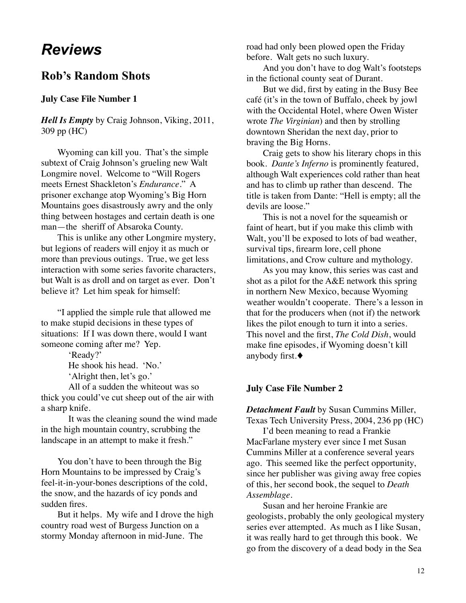# *Reviews*

## **Rob's Random Shots**

### **July Case File Number 1**

*Hell Is Empty* by Craig Johnson, Viking, 2011, 309 pp (HC)

Wyoming can kill you. That's the simple subtext of Craig Johnson's grueling new Walt Longmire novel. Welcome to "Will Rogers meets Ernest Shackleton's *Endurance*." A prisoner exchange atop Wyoming's Big Horn Mountains goes disastrously awry and the only thing between hostages and certain death is one man—the sheriff of Absaroka County.

This is unlike any other Longmire mystery, but legions of readers will enjoy it as much or more than previous outings. True, we get less interaction with some series favorite characters, but Walt is as droll and on target as ever. Don't believe it? Let him speak for himself:

"I applied the simple rule that allowed me to make stupid decisions in these types of situations: If I was down there, would I want someone coming after me? Yep.

'Ready?'

He shook his head. 'No.'

'Alright then, let's go.'

All of a sudden the whiteout was so thick you could've cut sheep out of the air with a sharp knife.

It was the cleaning sound the wind made in the high mountain country, scrubbing the landscape in an attempt to make it fresh."

You don't have to been through the Big Horn Mountains to be impressed by Craig's feel-it-in-your-bones descriptions of the cold, the snow, and the hazards of icy ponds and sudden fires.

But it helps. My wife and I drove the high country road west of Burgess Junction on a stormy Monday afternoon in mid-June. The

road had only been plowed open the Friday before. Walt gets no such luxury.

And you don't have to dog Walt's footsteps in the fictional county seat of Durant.

But we did, first by eating in the Busy Bee café (it's in the town of Buffalo, cheek by jowl with the Occidental Hotel, where Owen Wister wrote *The Virginian*) and then by strolling downtown Sheridan the next day, prior to braving the Big Horns.

Craig gets to show his literary chops in this book. *Dante's Inferno* is prominently featured, although Walt experiences cold rather than heat and has to climb up rather than descend. The title is taken from Dante: "Hell is empty; all the devils are loose."

This is not a novel for the squeamish or faint of heart, but if you make this climb with Walt, you'll be exposed to lots of bad weather, survival tips, firearm lore, cell phone limitations, and Crow culture and mythology.

As you may know, this series was cast and shot as a pilot for the A&E network this spring in northern New Mexico, because Wyoming weather wouldn't cooperate. There's a lesson in that for the producers when (not if) the network likes the pilot enough to turn it into a series. This novel and the first, *The Cold Dish*, would make fine episodes, if Wyoming doesn't kill anybody first.♦

### **July Case File Number 2**

*Detachment Fault* by Susan Cummins Miller, Texas Tech University Press, 2004, 236 pp (HC)

I'd been meaning to read a Frankie MacFarlane mystery ever since I met Susan Cummins Miller at a conference several years ago. This seemed like the perfect opportunity, since her publisher was giving away free copies of this, her second book, the sequel to *Death Assemblage*.

Susan and her heroine Frankie are geologists, probably the only geological mystery series ever attempted. As much as I like Susan, it was really hard to get through this book. We go from the discovery of a dead body in the Sea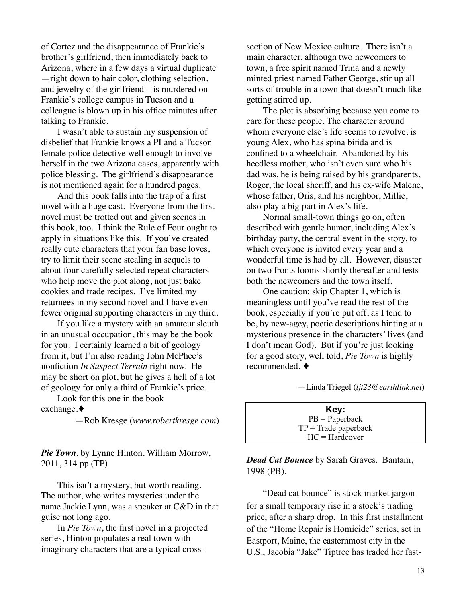of Cortez and the disappearance of Frankie's brother's girlfriend, then immediately back to Arizona, where in a few days a virtual duplicate —right down to hair color, clothing selection, and jewelry of the girlfriend—is murdered on Frankie's college campus in Tucson and a colleague is blown up in his office minutes after talking to Frankie.

I wasn't able to sustain my suspension of disbelief that Frankie knows a PI and a Tucson female police detective well enough to involve herself in the two Arizona cases, apparently with police blessing. The girlfriend's disappearance is not mentioned again for a hundred pages.

And this book falls into the trap of a first novel with a huge cast. Everyone from the first novel must be trotted out and given scenes in this book, too. I think the Rule of Four ought to apply in situations like this. If you've created really cute characters that your fan base loves, try to limit their scene stealing in sequels to about four carefully selected repeat characters who help move the plot along, not just bake cookies and trade recipes. I've limited my returnees in my second novel and I have even fewer original supporting characters in my third.

If you like a mystery with an amateur sleuth in an unusual occupation, this may be the book for you. I certainly learned a bit of geology from it, but I'm also reading John McPhee's nonfiction *In Suspect Terrain* right now. He may be short on plot, but he gives a hell of a lot of geology for only a third of Frankie's price.

Look for this one in the book exchange.♦

—Rob Kresge (*[www.robertkresge.com](http://www.robertkresge.com)*)

*Pie Town*, by Lynne Hinton. William Morrow, 2011, 314 pp (TP)

This isn't a mystery, but worth reading. The author, who writes mysteries under the name Jackie Lynn, was a speaker at C&D in that guise not long ago.

In *Pie Town*, the first novel in a projected series, Hinton populates a real town with imaginary characters that are a typical crosssection of New Mexico culture. There isn't a main character, although two newcomers to town, a free spirit named Trina and a newly minted priest named Father George, stir up all sorts of trouble in a town that doesn't much like getting stirred up.

The plot is absorbing because you come to care for these people. The character around whom everyone else's life seems to revolve, is young Alex, who has spina bifida and is confined to a wheelchair. Abandoned by his heedless mother, who isn't even sure who his dad was, he is being raised by his grandparents, Roger, the local sheriff, and his ex-wife Malene, whose father, Oris, and his neighbor, Millie, also play a big part in Alex's life.

Normal small-town things go on, often described with gentle humor, including Alex's birthday party, the central event in the story, to which everyone is invited every year and a wonderful time is had by all. However, disaster on two fronts looms shortly thereafter and tests both the newcomers and the town itself.

One caution: skip Chapter 1, which is meaningless until you've read the rest of the book, especially if you're put off, as I tend to be, by new-agey, poetic descriptions hinting at a mysterious presence in the characters' lives (and I don't mean God). But if you're just looking for a good story, well told, *Pie Town* is highly recommended. ♦

—Linda Triegel (*[ljt23@earthlink.net](mailto:rkresge777@comcast.net)*)

**Key:** PB = Paperback  $TP = Trade$  paperback HC = Hardcover

*Dead Cat Bounce* by Sarah Graves. Bantam, 1998 (PB).

"Dead cat bounce" is stock market jargon for a small temporary rise in a stock's trading price, after a sharp drop. In this first installment of the "Home Repair is Homicide" series, set in Eastport, Maine, the easternmost city in the U.S., Jacobia "Jake" Tiptree has traded her fast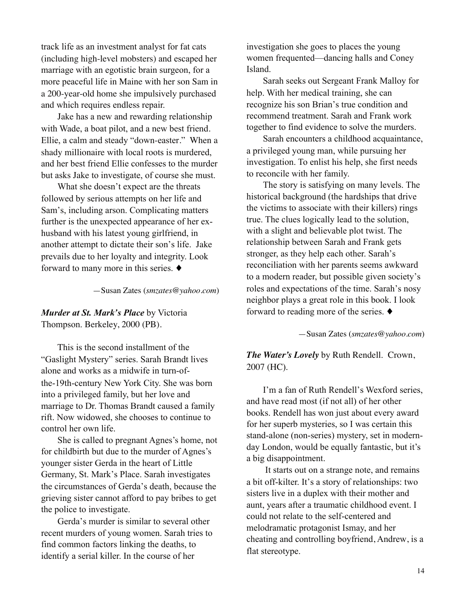track life as an investment analyst for fat cats (including high-level mobsters) and escaped her marriage with an egotistic brain surgeon, for a more peaceful life in Maine with her son Sam in a 200-year-old home she impulsively purchased and which requires endless repair.

Jake has a new and rewarding relationship with Wade, a boat pilot, and a new best friend. Ellie, a calm and steady "down-easter." When a shady millionaire with local roots is murdered, and her best friend Ellie confesses to the murder but asks Jake to investigate, of course she must.

What she doesn't expect are the threats followed by serious attempts on her life and Sam's, including arson. Complicating matters further is the unexpected appearance of her exhusband with his latest young girlfriend, in another attempt to dictate their son's life. Jake prevails due to her loyalty and integrity. Look forward to many more in this series. ♦

—Susan Zates (*[smzates@yahoo.com](mailto:smzates@yahoo.com)*)

*Murder at St. Mark's Place* by Victoria Thompson. Berkeley, 2000 (PB).

This is the second installment of the "Gaslight Mystery" series. Sarah Brandt lives alone and works as a midwife in turn-ofthe-19th-century New York City. She was born into a privileged family, but her love and marriage to Dr. Thomas Brandt caused a family rift. Now widowed, she chooses to continue to control her own life.

She is called to pregnant Agnes's home, not for childbirth but due to the murder of Agnes's younger sister Gerda in the heart of Little Germany, St. Mark's Place. Sarah investigates the circumstances of Gerda's death, because the grieving sister cannot afford to pay bribes to get the police to investigate.

Gerda's murder is similar to several other recent murders of young women. Sarah tries to find common factors linking the deaths, to identify a serial killer. In the course of her

investigation she goes to places the young women frequented—dancing halls and Coney Island.

Sarah seeks out Sergeant Frank Malloy for help. With her medical training, she can recognize his son Brian's true condition and recommend treatment. Sarah and Frank work together to find evidence to solve the murders.

Sarah encounters a childhood acquaintance, a privileged young man, while pursuing her investigation. To enlist his help, she first needs to reconcile with her family.

The story is satisfying on many levels. The historical background (the hardships that drive the victims to associate with their killers) rings true. The clues logically lead to the solution, with a slight and believable plot twist. The relationship between Sarah and Frank gets stronger, as they help each other. Sarah's reconciliation with her parents seems awkward to a modern reader, but possible given society's roles and expectations of the time. Sarah's nosy neighbor plays a great role in this book. I look forward to reading more of the series. ♦

—Susan Zates (*[smzates@yahoo.com](mailto:smzates@yahoo.com)*)

*The Water's Lovely* by Ruth Rendell. Crown, 2007 (HC).

I'm a fan of Ruth Rendell's Wexford series, and have read most (if not all) of her other books. Rendell has won just about every award for her superb mysteries, so I was certain this stand-alone (non-series) mystery, set in modernday London, would be equally fantastic, but it's a big disappointment.

 It starts out on a strange note, and remains a bit off-kilter. It's a story of relationships: two sisters live in a duplex with their mother and aunt, years after a traumatic childhood event. I could not relate to the self-centered and melodramatic protagonist Ismay, and her cheating and controlling boyfriend, Andrew, is a flat stereotype.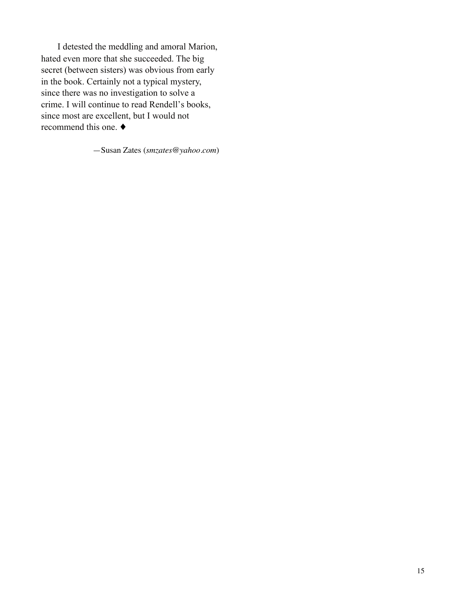I detested the meddling and amoral Marion, hated even more that she succeeded. The big secret (between sisters) was obvious from early in the book. Certainly not a typical mystery, since there was no investigation to solve a crime. I will continue to read Rendell's books, since most are excellent, but I would not recommend this one. ♦

—Susan Zates (*[smzates@yahoo.com](mailto:smzates@yahoo.com)*)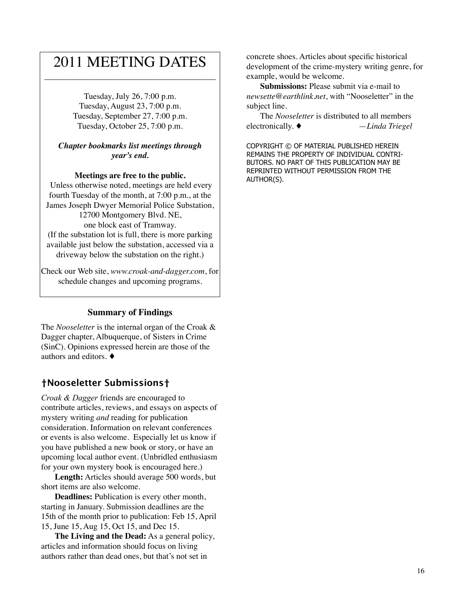## 2011 MEETING DATES \_\_\_\_\_\_\_\_\_\_\_\_\_\_\_\_\_\_\_\_\_\_\_\_\_\_\_\_\_\_\_\_\_\_\_\_\_\_\_\_\_

Tuesday, July 26, 7:00 p.m. Tuesday, August 23, 7:00 p.m. Tuesday, September 27, 7:00 p.m. Tuesday, October 25, 7:00 p.m.

*Chapter bookmarks list meetings through year's end.*

#### **Meetings are free to the public.**

 Unless otherwise noted, meetings are held every fourth Tuesday of the month, at 7:00 p.m., at the James Joseph Dwyer Memorial Police Substation, 12700 Montgomery Blvd. NE, one block east of Tramway. (If the substation lot is full, there is more parking available just below the substation, accessed via a driveway below the substation on the right.)

Check our Web site, *www.croak-and-dagger.com*, for schedule changes and upcoming programs.

#### **Summary of Findings**

The *Nooseletter* is the internal organ of the Croak & Dagger chapter, Albuquerque, of Sisters in Crime (SinC). Opinions expressed herein are those of the authors and editors. ♦

### **†Nooseletter Submissions†**

*Croak & Dagger* friends are encouraged to contribute articles, reviews, and essays on aspects of mystery writing *and* reading for publication consideration. Information on relevant conferences or events is also welcome. Especially let us know if you have published a new book or story, or have an upcoming local author event. (Unbridled enthusiasm for your own mystery book is encouraged here.)

**Length:** Articles should average 500 words, but short items are also welcome.

**Deadlines:** Publication is every other month, starting in January. Submission deadlines are the 15th of the month prior to publication: Feb 15, April 15, June 15, Aug 15, Oct 15, and Dec 15.

**The Living and the Dead:** As a general policy, articles and information should focus on living authors rather than dead ones, but that's not set in

concrete shoes. Articles about specific historical development of the crime-mystery writing genre, for example, would be welcome.

**Submissions:** Please submit via e-mail to *newsette@earthlink.net*, with "Nooseletter" in the subject line.

The *Nooseletter* is distributed to all members electronically. ♦ —*Linda Triegel*

COPYRIGHT © OF MATERIAL PUBLISHED HEREIN REMAINS THE PROPERTY OF INDIVIDUAL CONTRI-BUTORS. NO PART OF THIS PUBLICATION MAY BE REPRINTED WITHOUT PERMISSION FROM THE AUTHOR(S).